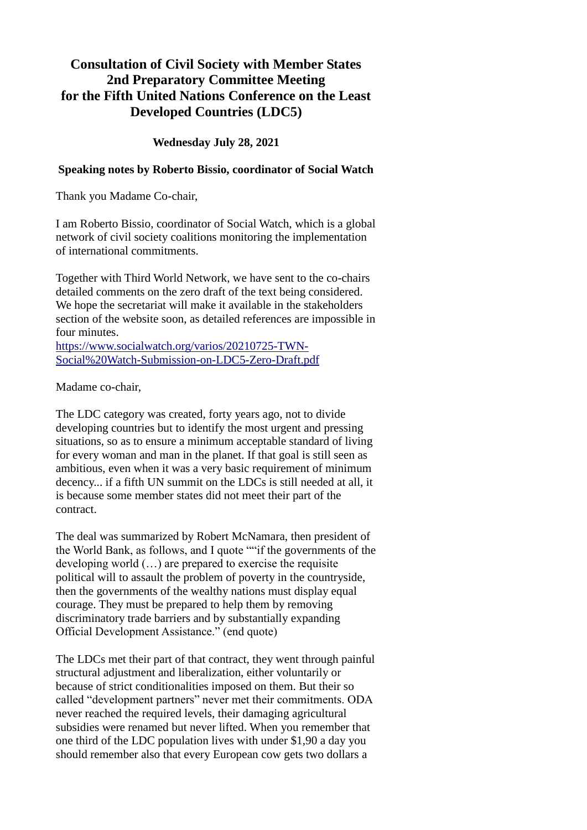## **Consultation of Civil Society with Member States 2nd Preparatory Committee Meeting for the Fifth United Nations Conference on the Least Developed Countries (LDC5)**

**Wednesday July 28, 2021**

## **Speaking notes by Roberto Bissio, coordinator of Social Watch**

Thank you Madame Co-chair,

I am Roberto Bissio, coordinator of Social Watch, which is a global network of civil society coalitions monitoring the implementation of international commitments.

Together with Third World Network, we have sent to the co-chairs detailed comments on the zero draft of the text being considered. We hope the secretariat will make it available in the stakeholders section of the website soon, as detailed references are impossible in four minutes.

[https://www.socialwatch.org/varios/20210725-TWN-](https://www.socialwatch.org/varios/20210725-TWN-Social%20Watch-Submission-on-LDC5-Zero-Draft.pdf)[Social%20Watch-Submission-on-LDC5-Zero-Draft.pdf](https://www.socialwatch.org/varios/20210725-TWN-Social%20Watch-Submission-on-LDC5-Zero-Draft.pdf)

Madame co-chair,

The LDC category was created, forty years ago, not to divide developing countries but to identify the most urgent and pressing situations, so as to ensure a minimum acceptable standard of living for every woman and man in the planet. If that goal is still seen as ambitious, even when it was a very basic requirement of minimum decency... if a fifth UN summit on the LDCs is still needed at all, it is because some member states did not meet their part of the contract.

The deal was summarized by Robert McNamara, then president of the World Bank, as follows, and I quote ""if the governments of the developing world (…) are prepared to exercise the requisite political will to assault the problem of poverty in the countryside, then the governments of the wealthy nations must display equal courage. They must be prepared to help them by removing discriminatory trade barriers and by substantially expanding Official Development Assistance." (end quote)

The LDCs met their part of that contract, they went through painful structural adjustment and liberalization, either voluntarily or because of strict conditionalities imposed on them. But their so called "development partners" never met their commitments. ODA never reached the required levels, their damaging agricultural subsidies were renamed but never lifted. When you remember that one third of the LDC population lives with under \$1,90 a day you should remember also that every European cow gets two dollars a